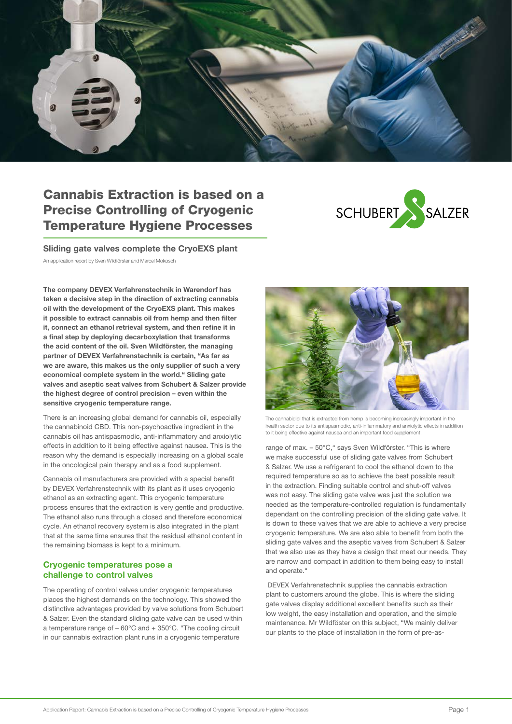

## Cannabis Extraction is based on a Precise Controlling of Cryogenic Temperature Hygiene Processes



Sliding gate valves complete the CryoEXS plant An application report by Sven Wildförster and Marcel Mokosch

The company DEVEX Verfahrenstechnik in Warendorf has taken a decisive step in the direction of extracting cannabis oil with the development of the CryoEXS plant. This makes it possible to extract cannabis oil from hemp and then filter it, connect an ethanol retrieval system, and then refine it in a final step by deploying decarboxylation that transforms the acid content of the oil. Sven Wildförster, the managing partner of DEVEX Verfahrenstechnik is certain, "As far as we are aware, this makes us the only supplier of such a very economical complete system in the world." Sliding gate valves and aseptic seat valves from Schubert & Salzer provide the highest degree of control precision – even within the sensitive cryogenic temperature range.

There is an increasing global demand for cannabis oil, especially the cannabinoid CBD. This non-psychoactive ingredient in the cannabis oil has antispasmodic, anti-inflammatory and anxiolytic effects in addition to it being effective against nausea. This is the reason why the demand is especially increasing on a global scale in the oncological pain therapy and as a food supplement.

Cannabis oil manufacturers are provided with a special benefit by DEVEX Verfahrenstechnik with its plant as it uses cryogenic ethanol as an extracting agent. This cryogenic temperature process ensures that the extraction is very gentle and productive. The ethanol also runs through a closed and therefore economical cycle. An ethanol recovery system is also integrated in the plant that at the same time ensures that the residual ethanol content in the remaining biomass is kept to a minimum.

## Cryogenic temperatures pose a challenge to control valves

The operating of control valves under cryogenic temperatures places the highest demands on the technology. This showed the distinctive advantages provided by valve solutions from Schubert & Salzer. Even the standard sliding gate valve can be used within a temperature range of – 60°C and + 350°C. "The cooling circuit in our cannabis extraction plant runs in a cryogenic temperature



The cannabidiol that is extracted from hemp is becoming increasingly important in the health sector due to its antispasmodic, anti-inflammatory and anxiolytic effects in addition to it being effective against nausea and an important food supplement.

range of max. – 50°C," says Sven Wildförster. "This is where we make successful use of sliding gate valves from Schubert & Salzer. We use a refrigerant to cool the ethanol down to the required temperature so as to achieve the best possible result in the extraction. Finding suitable control and shut-off valves was not easy. The sliding gate valve was just the solution we needed as the temperature-controlled regulation is fundamentally dependant on the controlling precision of the sliding gate valve. It is down to these valves that we are able to achieve a very precise cryogenic temperature. We are also able to benefit from both the sliding gate valves and the aseptic valves from Schubert & Salzer that we also use as they have a design that meet our needs. They are narrow and compact in addition to them being easy to install and operate."

 DEVEX Verfahrenstechnik supplies the cannabis extraction plant to customers around the globe. This is where the sliding gate valves display additional excellent benefits such as their low weight, the easy installation and operation, and the simple maintenance. Mr Wildföster on this subject, "We mainly deliver our plants to the place of installation in the form of pre-as-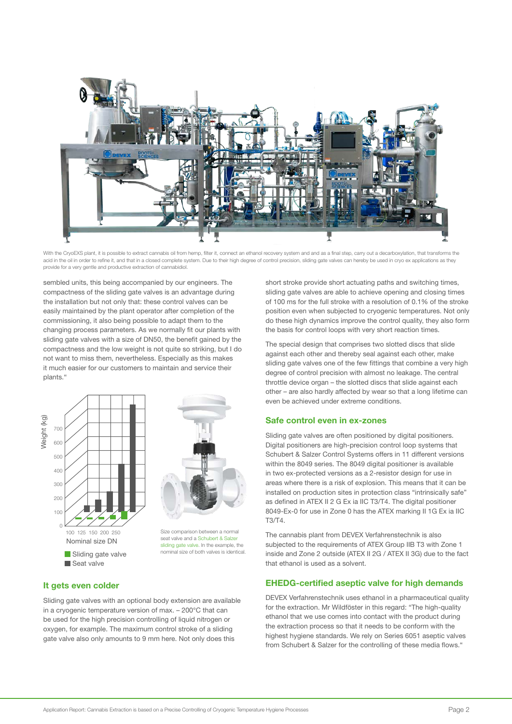

With the CryoEXS plant, it is possible to extract cannabis oil from hemp, filter it, connect an ethanol recovery system and and as a final step, carry out a decarboxylation, that transforms the acid in the oil in order to refine it, and that in a closed complete system. Due to their high degree of control precision, sliding gate valves can hereby be used in cryo ex applications as they provide for a very gentle and productive extraction of cannabidiol.

sembled units, this being accompanied by our engineers. The compactness of the sliding gate valves is an advantage during the installation but not only that: these control valves can be easily maintained by the plant operator after completion of the commissioning, it also being possible to adapt them to the changing process parameters. As we normally fit our plants with sliding gate valves with a size of DN50, the benefit gained by the compactness and the low weight is not quite so striking, but I do not want to miss them, nevertheless. Especially as this makes it much easier for our customers to maintain and service their plants."





Size comparison between a normal seat valve and a Schubert & Salzer sliding gate valve. In the example, the nominal size of both valves is identical

## It gets even colder

Sliding gate valves with an optional body extension are available in a cryogenic temperature version of max. – 200°C that can be used for the high precision controlling of liquid nitrogen or oxygen, for example. The maximum control stroke of a sliding gate valve also only amounts to 9 mm here. Not only does this

short stroke provide short actuating paths and switching times, sliding gate valves are able to achieve opening and closing times of 100 ms for the full stroke with a resolution of 0.1% of the stroke position even when subjected to cryogenic temperatures. Not only do these high dynamics improve the control quality, they also form the basis for control loops with very short reaction times.

The special design that comprises two slotted discs that slide against each other and thereby seal against each other, make sliding gate valves one of the few fittings that combine a very high degree of control precision with almost no leakage. The central throttle device organ – the slotted discs that slide against each other – are also hardly affected by wear so that a long lifetime can even be achieved under extreme conditions.

## Safe control even in ex-zones

Sliding gate valves are often positioned by digital positioners. Digital positioners are high-precision control loop systems that Schubert & Salzer Control Systems offers in 11 different versions within the 8049 series. The 8049 digital positioner is available in two ex-protected versions as a 2-resistor design for use in areas where there is a risk of explosion. This means that it can be installed on production sites in protection class "intrinsically safe" as defined in ATEX II 2 G Ex ia IIC T3/T4. The digital positioner 8049-Ex-0 for use in Zone 0 has the ATEX marking II 1G Ex ia IIC T3/T4.

The cannabis plant from DEVEX Verfahrenstechnik is also subjected to the requirements of ATEX Group IIB T3 with Zone 1 inside and Zone 2 outside (ATEX II 2G / ATEX II 3G) due to the fact that ethanol is used as a solvent.

## EHEDG-certified aseptic valve for high demands

DEVEX Verfahrenstechnik uses ethanol in a pharmaceutical quality for the extraction. Mr Wildföster in this regard: "The high-quality ethanol that we use comes into contact with the product during the extraction process so that it needs to be conform with the highest hygiene standards. We rely on Series 6051 aseptic valves from Schubert & Salzer for the controlling of these media flows."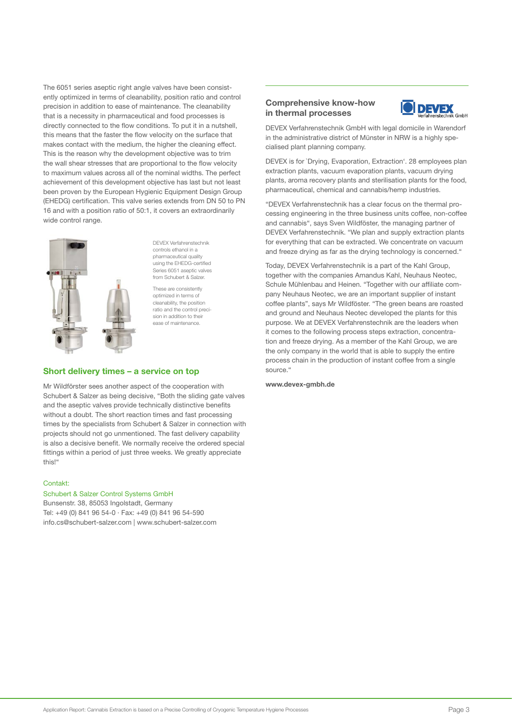The 6051 series aseptic right angle valves have been consistently optimized in terms of cleanability, position ratio and control precision in addition to ease of maintenance. The cleanability that is a necessity in pharmaceutical and food processes is directly connected to the flow conditions. To put it in a nutshell, this means that the faster the flow velocity on the surface that makes contact with the medium, the higher the cleaning effect. This is the reason why the development objective was to trim the wall shear stresses that are proportional to the flow velocity to maximum values across all of the nominal widths. The perfect achievement of this development objective has last but not least been proven by the European Hygienic Equipment Design Group (EHEDG) certification. This valve series extends from DN 50 to PN 16 and with a position ratio of 50:1, it covers an extraordinarily wide control range.



DEVEX Verfahrenstechnik controls ethanol in a pharmaceutical quality using the EHEDG-certified ries 6051 asentic valves from Schubert & Salzer.

These are consistently optimized in terms of cleanability, the position ratio and the control precision in addition to their ease of maintenance.

## Short delivery times – a service on top

Mr Wildförster sees another aspect of the cooperation with Schubert & Salzer as being decisive, "Both the sliding gate valves and the aseptic valves provide technically distinctive benefits without a doubt. The short reaction times and fast processing times by the specialists from Schubert & Salzer in connection with projects should not go unmentioned. The fast delivery capability is also a decisive benefit. We normally receive the ordered special fittings within a period of just three weeks. We greatly appreciate this!"

## Contakt:

#### Schubert & Salzer Control Systems GmbH

Bunsenstr. 38, 85053 Ingolstadt, Germany Tel: +49 (0) 841 96 54-0 · Fax: +49 (0) 841 96 54-590 info.cs@schubert-salzer.com | www.schubert-salzer.com

## Comprehensive know-how in thermal processes



DEVEX Verfahrenstechnik GmbH with legal domicile in Warendorf in the administrative district of Münster in NRW is a highly specialised plant planning company.

DEVEX is for `Drying, Evaporation, Extraction'. 28 employees plan extraction plants, vacuum evaporation plants, vacuum drying plants, aroma recovery plants and sterilisation plants for the food, pharmaceutical, chemical and cannabis/hemp industries.

"DEVEX Verfahrenstechnik has a clear focus on the thermal processing engineering in the three business units coffee, non-coffee and cannabis", says Sven Wildföster, the managing partner of DEVEX Verfahrenstechnik. "We plan and supply extraction plants for everything that can be extracted. We concentrate on vacuum and freeze drying as far as the drying technology is concerned."

Today, DEVEX Verfahrenstechnik is a part of the Kahl Group, together with the companies Amandus Kahl, Neuhaus Neotec, Schule Mühlenbau and Heinen. "Together with our affiliate company Neuhaus Neotec, we are an important supplier of instant coffee plants", says Mr Wildföster. "The green beans are roasted and ground and Neuhaus Neotec developed the plants for this purpose. We at DEVEX Verfahrenstechnik are the leaders when it comes to the following process steps extraction, concentration and freeze drying. As a member of the Kahl Group, we are the only company in the world that is able to supply the entire process chain in the production of instant coffee from a single source."

www.devex-gmbh.de